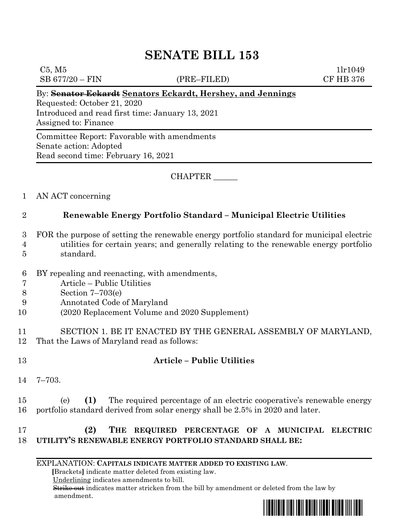# **SENATE BILL 153**

 $C5, M5$  1lr1049

SB 677/20 – FIN (PRE–FILED) CF HB 376

#### By: **Senator Eckardt Senators Eckardt, Hershey, and Jennings**

Requested: October 21, 2020 Introduced and read first time: January 13, 2021 Assigned to: Finance

Committee Report: Favorable with amendments Senate action: Adopted Read second time: February 16, 2021

CHAPTER \_\_\_\_\_\_

1 AN ACT concerning

### 2 **Renewable Energy Portfolio Standard – Municipal Electric Utilities**

- 3 FOR the purpose of setting the renewable energy portfolio standard for municipal electric
- 4 utilities for certain years; and generally relating to the renewable energy portfolio 5 standard.
- 
- 6 BY repealing and reenacting, with amendments,
- 7 Article Public Utilities
- 8 Section 7–703(e)
- 9 Annotated Code of Maryland
- 10 (2020 Replacement Volume and 2020 Supplement)
- 11 SECTION 1. BE IT ENACTED BY THE GENERAL ASSEMBLY OF MARYLAND, 12 That the Laws of Maryland read as follows:
- 

### 13 **Article – Public Utilities**

- 14 7–703.
- 15 (e) **(1)** The required percentage of an electric cooperative's renewable energy 16 portfolio standard derived from solar energy shall be 2.5% in 2020 and later.

## 17 **(2) THE REQUIRED PERCENTAGE OF A MUNICIPAL ELECTRIC**  18 **UTILITY'S RENEWABLE ENERGY PORTFOLIO STANDARD SHALL BE:**

EXPLANATION: **CAPITALS INDICATE MATTER ADDED TO EXISTING LAW**.

 **[**Brackets**]** indicate matter deleted from existing law.

Underlining indicates amendments to bill.

 Strike out indicates matter stricken from the bill by amendment or deleted from the law by amendment.